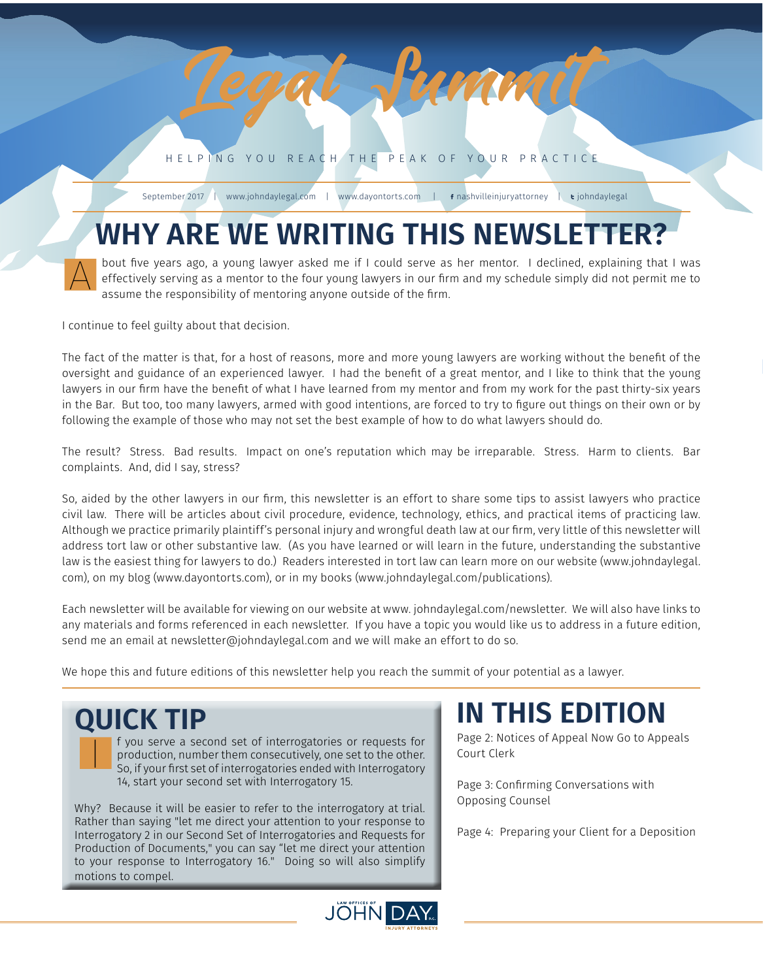HELPING YOU REACH THE PEAK OF YOUR PRACTICE

*1 September 2017*

Legal Summit

September 2017 | www.johndaylegal.com | www.dayontorts.com | f nashvilleinjuryattorney | t johndaylegal

### **WHY ARE WE WRITING THIS NEWSLETTER?**

bout five years ago, a young lawyer asked me if I could serve as her mentor. I declined, explaining that I was effectively serving as a mentor to the four young lawyers in our firm and my schedule simply did not permit me to assume the responsibility of mentoring anyone outside of the firm. A

I continue to feel guilty about that decision.

The fact of the matter is that, for a host of reasons, more and more young lawyers are working without the benefit of the oversight and guidance of an experienced lawyer. I had the benefit of a great mentor, and I like to think that the young lawyers in our firm have the benefit of what I have learned from my mentor and from my work for the past thirty-six years in the Bar. But too, too many lawyers, armed with good intentions, are forced to try to figure out things on their own or by following the example of those who may not set the best example of how to do what lawyers should do.

The result? Stress. Bad results. Impact on one's reputation which may be irreparable. Stress. Harm to clients. Bar complaints. And, did I say, stress?

So, aided by the other lawyers in our firm, this newsletter is an effort to share some tips to assist lawyers who practice civil law. There will be articles about civil procedure, evidence, technology, ethics, and practical items of practicing law. Although we practice primarily plaintiff's personal injury and wrongful death law at our firm, very little of this newsletter will address tort law or other substantive law. (As you have learned or will learn in the future, understanding the substantive law is the easiest thing for lawyers to do.) Readers interested in tort law can learn more on our website (www.johndaylegal. com), on my blog (www.dayontorts.com), or in my books (www.johndaylegal.com/publications).

Each newsletter will be available for viewing on our website at www. johndaylegal.com/newsletter. We will also have links to any materials and forms referenced in each newsletter. If you have a topic you would like us to address in a future edition, send me an email at newsletter@johndaylegal.com and we will make an effort to do so.

We hope this and future editions of this newsletter help you reach the summit of your potential as a lawyer.

 $\overline{\mathbf{I}}$ 

production, number them consecutively, one set to the other. So, if your first set of interrogatories ended with Interrogatory 14, start your second set with Interrogatory 15.

Why? Because it will be easier to refer to the interrogatory at trial. Rather than saying "let me direct your attention to your response to Interrogatory 2 in our Second Set of Interrogatories and Requests for Production of Documents," you can say "let me direct your attention to your response to Interrogatory 16." Doing so will also simplify motions to compel.

#### **QUICK TIP IN THIS EDITION QUICK TIP**<br>**IN TIP** f you serve a second set of interrogatories or requests for **Page 2: Notices of Appeal Now Go to Appeals**

Court Clerk

Page 3: Confirming Conversations with Opposing Counsel

Page 4: Preparing your Client for a Deposition

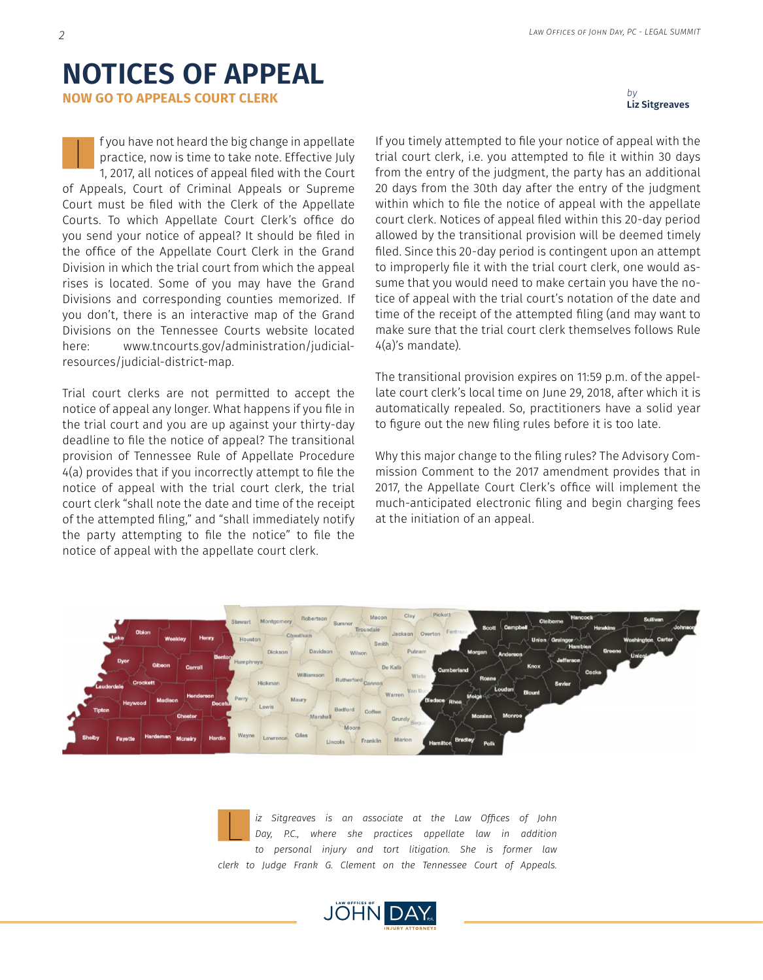#### **NOTICES OF APPEAL**

**NOW GO TO APPEALS COURT CLERK**

f you have not heard the big change in appellate practice, now is time to take note. Effective July 1, 2017, all notices of appeal filed with the Court of Appeals, Court of Criminal Appeals or Supreme Court must be filed with the Clerk of the Appellate Courts. To which Appellate Court Clerk's office do you send your notice of appeal? It should be filed in the office of the Appellate Court Clerk in the Grand Division in which the trial court from which the appeal rises is located. Some of you may have the Grand Divisions and corresponding counties memorized. If you don't, there is an interactive map of the Grand Divisions on the Tennessee Courts website located here: www.tncourts.gov/administration/judicialresources/judicial-district-map. I

Trial court clerks are not permitted to accept the notice of appeal any longer. What happens if you file in the trial court and you are up against your thirty-day deadline to file the notice of appeal? The transitional provision of Tennessee Rule of Appellate Procedure 4(a) provides that if you incorrectly attempt to file the notice of appeal with the trial court clerk, the trial court clerk "shall note the date and time of the receipt of the attempted filing," and "shall immediately notify the party attempting to file the notice" to file the notice of appeal with the appellate court clerk.

If you timely attempted to file your notice of appeal with the trial court clerk, i.e. you attempted to file it within 30 days from the entry of the judgment, the party has an additional 20 days from the 30th day after the entry of the judgment within which to file the notice of appeal with the appellate court clerk. Notices of appeal filed within this 20-day period allowed by the transitional provision will be deemed timely filed. Since this 20-day period is contingent upon an attempt to improperly file it with the trial court clerk, one would assume that you would need to make certain you have the notice of appeal with the trial court's notation of the date and time of the receipt of the attempted filing (and may want to make sure that the trial court clerk themselves follows Rule 4(a)'s mandate).

The transitional provision expires on 11:59 p.m. of the appellate court clerk's local time on June 29, 2018, after which it is automatically repealed. So, practitioners have a solid year to figure out the new filing rules before it is too late.

Why this major change to the filing rules? The Advisory Commission Comment to the 2017 amendment provides that in 2017, the Appellate Court Clerk's office will implement the much-anticipated electronic filing and begin charging fees at the initiation of an appeal.



*iz Sitgreaves is an associate at the Law Offices of John Day, P.C., where she practices appellate law in addition to personal injury and tort litigation. She is former law clerk to Judge Frank G. Clement on the Tennessee Court of Appeals.* L



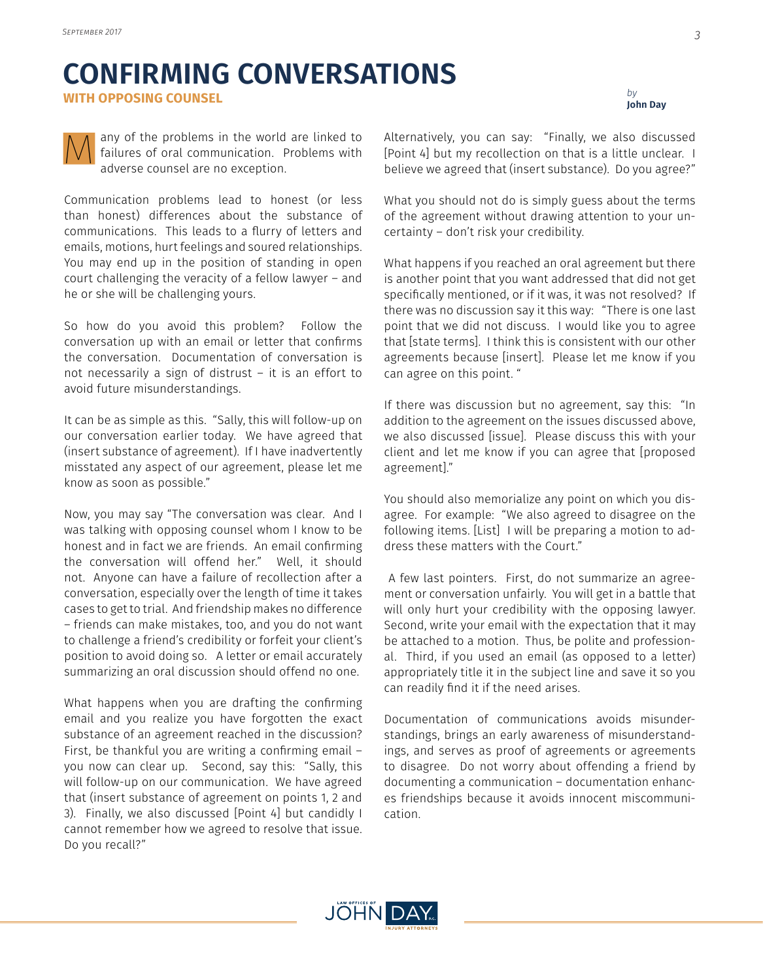## **CONFIRMING CONVERSATIONS**

**WITH OPPOSING COUNSEL**



any of the problems in the world are linked to failures of oral communication. Problems with adverse counsel are no exception. M

Communication problems lead to honest (or less than honest) differences about the substance of communications. This leads to a flurry of letters and emails, motions, hurt feelings and soured relationships. You may end up in the position of standing in open court challenging the veracity of a fellow lawyer – and he or she will be challenging yours.

So how do you avoid this problem? Follow the conversation up with an email or letter that confirms the conversation. Documentation of conversation is not necessarily a sign of distrust – it is an effort to avoid future misunderstandings.

It can be as simple as this. "Sally, this will follow-up on our conversation earlier today. We have agreed that (insert substance of agreement). If I have inadvertently misstated any aspect of our agreement, please let me know as soon as possible."

Now, you may say "The conversation was clear. And I was talking with opposing counsel whom I know to be honest and in fact we are friends. An email confirming the conversation will offend her." Well, it should not. Anyone can have a failure of recollection after a conversation, especially over the length of time it takes cases to get to trial. And friendship makes no difference – friends can make mistakes, too, and you do not want to challenge a friend's credibility or forfeit your client's position to avoid doing so. A letter or email accurately summarizing an oral discussion should offend no one.

What happens when you are drafting the confirming email and you realize you have forgotten the exact substance of an agreement reached in the discussion? First, be thankful you are writing a confirming email – you now can clear up. Second, say this: "Sally, this will follow-up on our communication. We have agreed that (insert substance of agreement on points 1, 2 and 3). Finally, we also discussed [Point 4] but candidly I cannot remember how we agreed to resolve that issue. Do you recall?"

Alternatively, you can say: "Finally, we also discussed [Point 4] but my recollection on that is a little unclear. I believe we agreed that (insert substance). Do you agree?"

What you should not do is simply guess about the terms of the agreement without drawing attention to your uncertainty – don't risk your credibility.

What happens if you reached an oral agreement but there is another point that you want addressed that did not get specifically mentioned, or if it was, it was not resolved? If there was no discussion say it this way: "There is one last point that we did not discuss. I would like you to agree that [state terms]. I think this is consistent with our other agreements because [insert]. Please let me know if you can agree on this point. "

If there was discussion but no agreement, say this: "In addition to the agreement on the issues discussed above, we also discussed [issue]. Please discuss this with your client and let me know if you can agree that [proposed agreement]."

You should also memorialize any point on which you disagree. For example: "We also agreed to disagree on the following items. [List] I will be preparing a motion to address these matters with the Court."

 A few last pointers. First, do not summarize an agreement or conversation unfairly. You will get in a battle that will only hurt your credibility with the opposing lawyer. Second, write your email with the expectation that it may be attached to a motion. Thus, be polite and professional. Third, if you used an email (as opposed to a letter) appropriately title it in the subject line and save it so you can readily find it if the need arises.

Documentation of communications avoids misunderstandings, brings an early awareness of misunderstandings, and serves as proof of agreements or agreements to disagree. Do not worry about offending a friend by documenting a communication – documentation enhances friendships because it avoids innocent miscommunication.